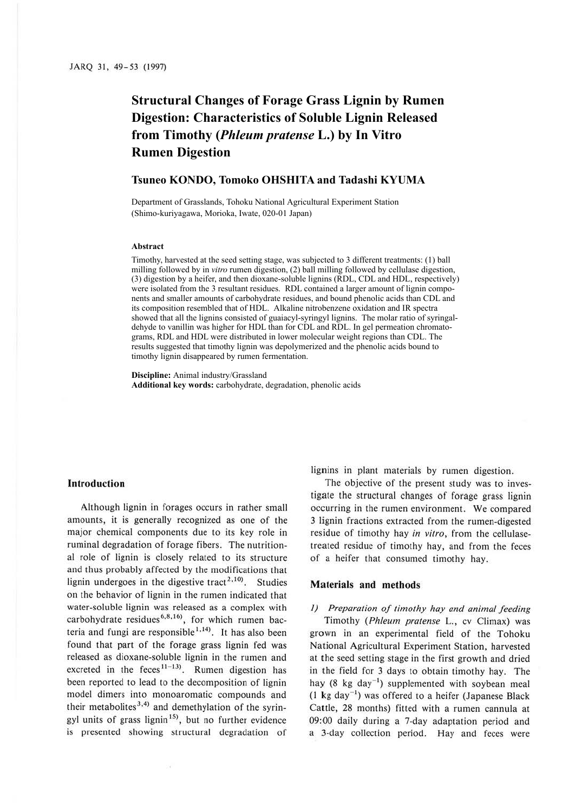# **Structural Changes of Forage Grass Lignin by Rumen Digestion: Characteristics of Soluble Lignin Released from Timothy (***Phleum pratense* **L.) by In Vitro Rumen Digestion**

# **Tsuneo KONDO, Tomoko OHSHITA and Tadashi KYUMA**

Department of Grasslands, Tohoku National Agricultural Experiment Station (Shimo-kuriyagawa, Morioka, Iwate, 020-01 Japan)

#### **Abstract**

Timothy, harvested at the seed setting stage, was subjected to 3 different treatments: (1) ball milling followed by in *vitro* rumen digestion, (2) ball milling followed by cellulase digestion, (3) digestion by a heifer, and then dioxane-soluble lignins (RDL, CDL and HDL, respectively) were isolated from the 3 resultant residues. RDL contained a larger amount of lignin components and smaller amounts of carbohydrate residues, and bound phenolic acids than CDL and its composition resembled that of HDL. Alkaline nitrobenzene oxidation and IR spectra showed that all the lignins consisted of guaiacyl-syringyl lignins. The molar ratio of syringaldehyde to vanillin was higher for HDL than for CDL and RDL. In gel permeation chromatograms, RDL and HDL were distributed in lower molecular weight regions than CDL. The results suggested that timothy lignin was depolymerized and the phenolic acids bound to timothy lignin disappeared by rumen fermentation.

**Discipline:** Animal industry/Grassland **Additional key words:** carbohydrate, degradation, phenolic acids

## **Introduction**

Although lignin in forages occurs in rather small amounts, it is generally recognized as one of the major chemical components due to its key role in ruminal degradation of forage fibers. The nutritional role of lignin is closely related to its structure and thus probably affected by the modifications that lignin undergoes in the digestive tract<sup>2,10</sup>. Studies on the behavior of lignin in the rumen indicated that water-soluble lignin was released as a complex with carbohydrate residues<sup>6,8,16</sup>), for which rumen bacteria and fungi are responsible<sup>1,14)</sup>. It has also been found that part of the forage grass lignin fed was released as dioxane-soluble lignin in the rumen and excreted in the feces<sup>11-13</sup>. Rumen digestion has been reported to lead to the decomposition of lignin model dimers into monoaromatic compounds and their metabolites<sup>3,4)</sup> and demethylation of the syringyl units of grass lignin<sup>15)</sup>, but no further evidence is presented showing structural degradation of

lignins in plant materials by rumen digestion.

The objective of the present study was to investigate the structural changes of forage grass lignin occurring in the rumen environment. We compared 3 lignin fractions extracted from the rumen-digested residue of timothy hay *in vitro,* from the cellulasetreated residue of timothy hay, and from the feces of a heifer that consumed timothy hay.

## **Materials and methods**

# *I) Preparation of timothy hay and animal feeding*

Timothy *(Phleum pratense* L., cv Climax) was grown in an experimental field of the Tohoku National Agricultural Experiment Station, harvested at the seed setting stage in the first growth and dried in the field for 3 days to obtain timothy hay. The hay (8 kg day<sup>-1</sup>) supplemented with soybean meal  $(1 \text{ kg day}^{-1})$  was offered to a heifer (Japanese Black Cattle, 28 months) fitted with a rumen cannula at 09:00 daily during a 7-day adaptation period and a 3-day collection period. Hay and feces were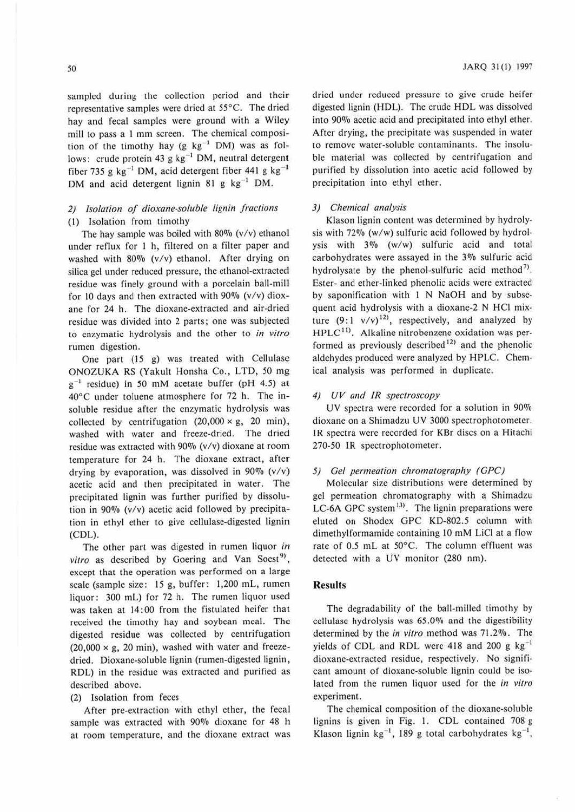sampled during the collection period and their representative samples were dried at 55°C. The dried hay and fecal samples were ground with a Wiley mill to pass a I mm screen. The chemical composition of the timothy hay (g  $kg^{-1}$  DM) was as follows: crude protein 43 g  $kg^{-1}$  DM, neutral detergent fiber 735 g  $kg^{-1}$  DM, acid detergent fiber 441 g  $kg^{-1}$ DM and acid detergent lignin 81 g  $kg^{-1}$  DM.

# *2) Isolation of dioxane-soluble lignin fractions*  (I) Isolation from timothy

The hay sample was boiled with  $80\%$  (v/v) ethanol under reflux for I h, filtered on a filter paper and washed with 80% (v/v) ethanol. After drying on silica gel under reduced pressure, the ethanol-extracted residue was finely ground with a porcelain ball-mill for 10 days and then extracted with  $90\%$  (v/v) dioxane for 24 h. The dioxane-extracted and air-dried residue was divided into 2 parts; one was subjected to enzymatic hydrolysis and the other to *in vitro*  rumen digestion.

One part (15 g) was treated with Cellulase ONOZUKA RS (Yakult Honsha Co., LTD, *50* mg  $g^{-1}$  residue) in 50 mM acetate buffer (pH 4.5) at 40°C under toluene atmosphere for 72 h. The insoluble residue after the enzymatic hydrolysis was collected by centrifugation  $(20,000 \times g, 20 \text{ min})$ , washed with water and freeze-dried. The dried residue was extracted with  $90\%$  (v/v) dioxane at room temperature for 24 h. The dioxane extract, after drying by evaporation, was dissolved in  $90\%$  (v/v) acetic acid and then precipitated in water. The precipitated lignin was further purified by dissolution in 90% (v/v) acetic acid followed by precipitation in ethyl ether to give cellulase-digested lignin (CDL).

The other part was digested in rumen liquor *in*  vitro as described by Goering and Van Soest<sup>9)</sup>, except that the operation was performed on a large scale (sample size: 15 g, buffer: 1,200 mL, rumen liquor: 300 mL) for 72 h. The rumen liquor used was taken at 14:00 from the fistulated heifer that received the timothy hay and soybean meal. The digested residue was collected by centrifugation  $(20,000 \times g, 20 \text{ min})$ , washed with water and freezedried. Dioxane-soluble lignin (rumen-digested lignin, RDL) in the residue was extracted and purified as described above.

# (2) Isolation from feces

After pre-extraction with ethyl ether, the fecal sample was extracted with 90% dioxane for 48 h at room temperature, and the dioxane extract was

dried under reduced pressure to give crude heifer digested lignin (HDL). The crude HDL was dissolved into 90% acetic acid and precipitated into ethyl ether. After drying, the precipitate was suspended in water to remove water-soluble contaminants. The insoluble material was collected by centrifugation and purified by dissolution into acetic acid followed by precipitation into ethyl ether.

## *3) Chemical analysis*

Klason lignin content was determined by hydrolysis with 72% (w/w) sulfuric acid followed by hydrolysis with 3% (w/w) sulfuric acid and total carbohydrates were assayed in the *3010* sulfuric acid hydrolysate by the phenol-sulfuric acid method<sup>7)</sup>. Ester- and ether-linked phenolic acids were extracted by saponification with I N NaOH and by subsequent acid hydrolysis with a dioxane-2 N HCl mixture  $(9:1 \text{ v/v})^{12}$ , respectively, and analyzed by  $HPLC<sup>11</sup>$ . Alkaline nitrobenzene oxidation was performed as previously described $12$  and the phenolic aldehydes produced were analyzed by HPLC. Chemical analysis was performed in duplicate.

### 4) UV *and* JR *spectroscopy*

UV spectra were recorded for a solution in 90% dioxane on a Shimadzu UV 3000 spectrophotometer. IR spectra were recorded for KBr discs on a Hitachi 270-50 lR spectrophotometer.

## *5) Gel permeation chroma1ography (GPC)*

Molecular size distributions were determined by gel permeation chromatography with a Shimadzu LC-6A GPC system<sup>13)</sup>. The lignin preparations were eluted on Shodex GPC KD-802.5 column with dimethylformamide containing 10 mM LiCI at a flow rate of 0.5 mL at 50°C. The column effluent was detected with a UV monitor (280 nm).

#### **Resulls**

The degradability of the ball-milled timothy by cellulase hydrolysis was 65.0% and the digestibility determined by the *in vitro* method was 71.2%. The yields of CDL and RDL were 418 and 200 g  $kg^{-1}$ dioxane-extracted residue, respectively. No significant amount of dioxane-soluble lignin could be isolated from the rumen liquor used for the *in vitro* experiment.

The chemical composition of the dioxane-soluble lignins is given in Fig. I. CDL contained 708 g Klason lignin kg<sup>-1</sup>, 189 g total carbohydrates kg<sup>-1</sup>,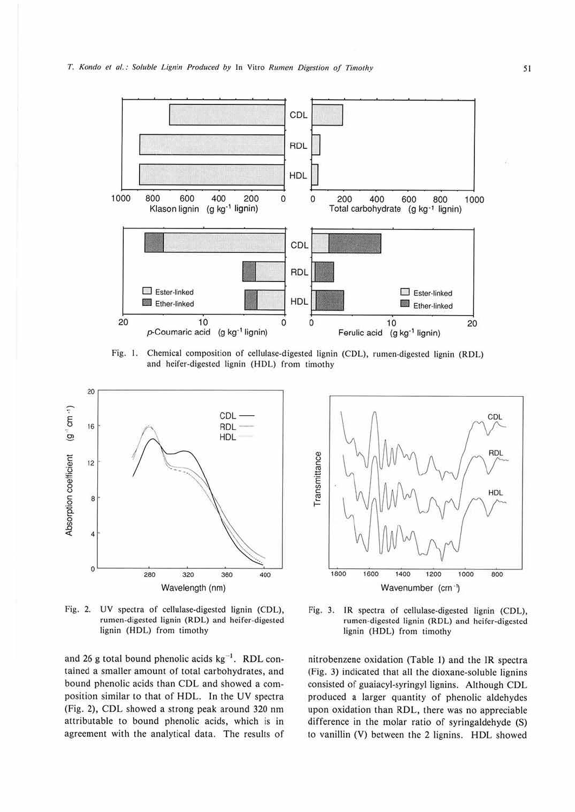

Fig. 1. Chemical composition of cellulase-digested lignin (CDL), rumen-digested lignin (RDL) and heifer-digested lignin (HDL) from timothy



Fig. 2. UV spectra of cellulase-digested lignin (CDL), rumen-digested lignin (RDL) and heifer-digested lignin (HDL) from timothy

and 26 g total bound phenolic acids  $kg^{-1}$ . RDL contained a smaller amount of total carbohydrates, and bound phenolic acids than COL and showed a composition similar to that of HDL. In the UV spectra (Fig. 2), CDL showed a strong peak around 320 nm attributable to bound phenolic acids, which is in agreement with the analytical data. The results of



Fig. 3. JR spectra of cellulase-digested lignin (CDL), rumen-digested lignin (RDL) and heifer-digested lignin (HDL) from timothy

nitrobenzene oxidation (Table l) and the IR spectra (Fig. 3) indicated that all the dioxane-soluble lignins consisted of guaiacyl-syringyl Jignins. Although CDL produced a larger quantity of phenolic aldehydcs upon oxidation than RDL, there was no appreciable difference in the molar ratio of syringaldehyde (S) to vanillin (V) between the 2 lignins. HDL showed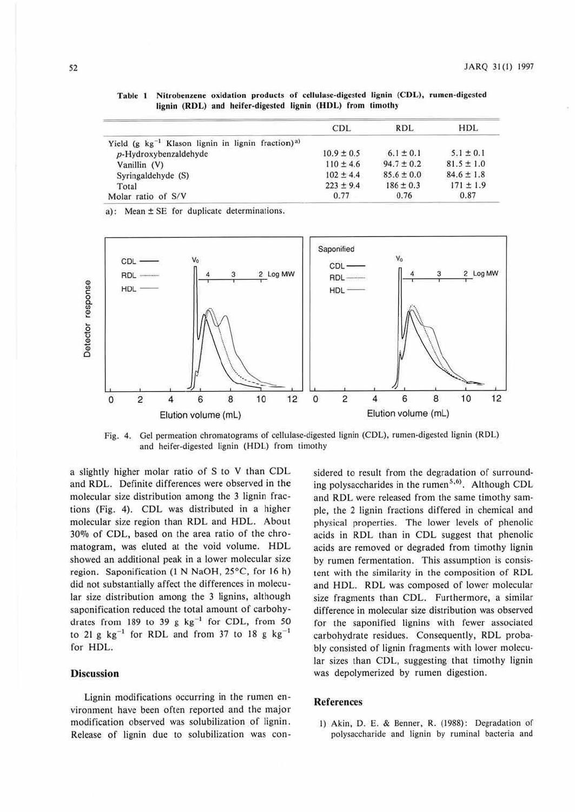|                                                                    | <b>CDL</b>     | <b>RDL</b>     | HDL            |
|--------------------------------------------------------------------|----------------|----------------|----------------|
| Yield (g $kg^{-1}$ Klason lignin in lignin fraction) <sup>a)</sup> |                |                |                |
| $p$ -Hydroxybenzaldehyde                                           | $10.9 \pm 0.5$ | $6.1 \pm 0.1$  | $5.1 \pm 0.1$  |
| Vanillin (V)                                                       | $110 \pm 4.6$  | $94.7 \pm 0.2$ | $81.5 \pm 1.0$ |
| Syringaldehyde (S)                                                 | $102 \pm 4.4$  | $85.6 \pm 0.0$ | $84.6 \pm 1.8$ |
| Total                                                              | $223 + 9.4$    | $186 \pm 0.3$  | $171 \pm 1.9$  |
| Molar ratio of S/V                                                 | 0.77           | 0.76           | 0.87           |

Table 1 Nilrobenzene oxidation products of cellulase-digested lignin (COL), rumen-digested lignin (RDL) and heifer-digested lignin (HDL) from timothy

a): Mean± SE for duplicate determinations.



Fig. 4. Gel permeation chromatograms of cellulase-digested lignin (CDL), rumen-digested lignin (RDL) and heifer-digested lignin (HDL) from timothy

a slightly higher molar ratio of S to V than CDL and RDL. Definite differences were observed in the molecular size distribution among the 3 lignin fractions (Fig. 4). CDL was distributed in a higher molecular size region than RDL and HDL. About 30% of CDL, based on the area ratio of the chromatogram, was eluted at the void volume. HDL showed an additional peak in a lower molecular size region. Saponification (I N NaOH, 25°C, for 16 h) did not substantially affect the differences in molecular size distribution among the 3 lignins, although saponification reduced the total amount of carbohydrates from 189 to 39 g  $kg^{-1}$  for CDL, from 50 to 21 g  $kg^{-1}$  for RDL and from 37 to 18 g  $kg^{-1}$ for HDL.

# **Discussion**

Lignin modifications occurring in the rumen environment have been often reported and the major modification observed was solubilization of lignin. Release of lignin due to solubilization was considered to result from the degradation of surrounding polysaccharides in the rumen<sup>5,6)</sup>. Although CDL and RDL were released from the same timothy sample, the 2 lignin fractions differed in chemical and physical properties. The lower levels of phenolic acids in RDL than in CDL suggest that phenolic acids arc removed or degraded from timothy lignin by rumen fermentation. This assumption is consistent with the similarity in the composition of RDL and HDL. RDL was composed of lower molecular size fragments than CDL. Furthermore, a similar difference in molecular size distribution was observed for the saponified lignins with fewer associated carbohydrate residues. Consequently, RDL probably consisted of lignin fragments with lower molecular sizes than CDL, suggesting that timothy lignin was depolymerized by rumen digestion.

### **References**

I) Akin, D. E. & Benner, R. (1988): Degradation of polysaccharide and lignin by ruminal bacteria and